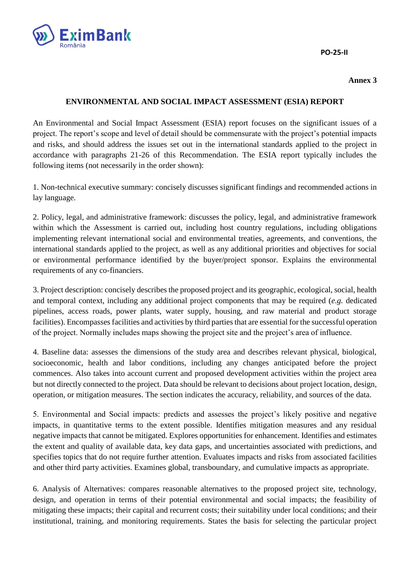

**PO-25-II**

## **Annex 3**

## **ENVIRONMENTAL AND SOCIAL IMPACT ASSESSMENT (ESIA) REPORT**

An Environmental and Social Impact Assessment (ESIA) report focuses on the significant issues of a project. The report's scope and level of detail should be commensurate with the project's potential impacts and risks, and should address the issues set out in the international standards applied to the project in accordance with paragraphs 21-26 of this Recommendation. The ESIA report typically includes the following items (not necessarily in the order shown):

1. Non-technical executive summary: concisely discusses significant findings and recommended actions in lay language.

2. Policy, legal, and administrative framework: discusses the policy, legal, and administrative framework within which the Assessment is carried out, including host country regulations, including obligations implementing relevant international social and environmental treaties, agreements, and conventions, the international standards applied to the project, as well as any additional priorities and objectives for social or environmental performance identified by the buyer/project sponsor. Explains the environmental requirements of any co-financiers.

3. Project description: concisely describes the proposed project and its geographic, ecological, social, health and temporal context, including any additional project components that may be required (*e.g.* dedicated pipelines, access roads, power plants, water supply, housing, and raw material and product storage facilities). Encompasses facilities and activities by third parties that are essential for the successful operation of the project. Normally includes maps showing the project site and the project's area of influence.

4. Baseline data: assesses the dimensions of the study area and describes relevant physical, biological, socioeconomic, health and labor conditions, including any changes anticipated before the project commences. Also takes into account current and proposed development activities within the project area but not directly connected to the project. Data should be relevant to decisions about project location, design, operation, or mitigation measures. The section indicates the accuracy, reliability, and sources of the data.

5. Environmental and Social impacts: predicts and assesses the project's likely positive and negative impacts, in quantitative terms to the extent possible. Identifies mitigation measures and any residual negative impacts that cannot be mitigated. Explores opportunities for enhancement. Identifies and estimates the extent and quality of available data, key data gaps, and uncertainties associated with predictions, and specifies topics that do not require further attention. Evaluates impacts and risks from associated facilities and other third party activities. Examines global, transboundary, and cumulative impacts as appropriate.

6. Analysis of Alternatives: compares reasonable alternatives to the proposed project site, technology, design, and operation in terms of their potential environmental and social impacts; the feasibility of mitigating these impacts; their capital and recurrent costs; their suitability under local conditions; and their institutional, training, and monitoring requirements. States the basis for selecting the particular project